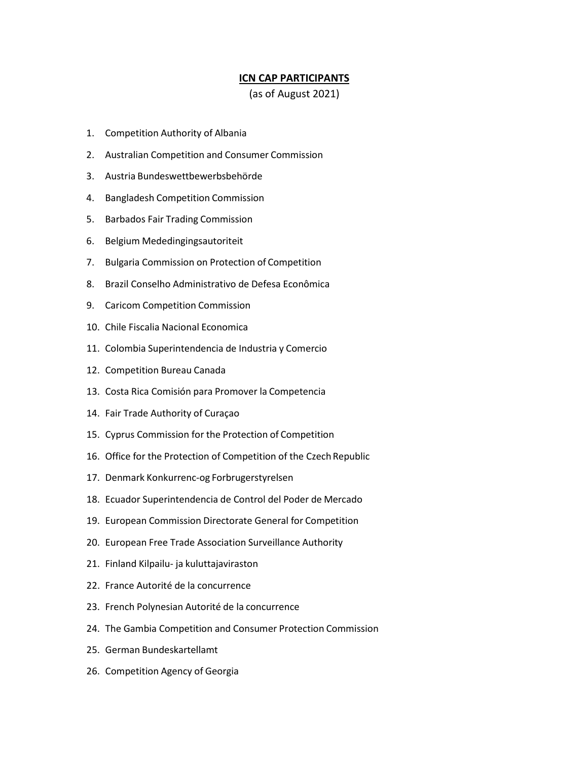## **ICN CAP PARTICIPANTS**

(as of August 2021)

- 1. Competition Authority of Albania
- 2. Australian Competition and Consumer Commission
- 3. Austria Bundeswettbewerbsbehörde
- 4. Bangladesh Competition Commission
- 5. Barbados Fair Trading Commission
- 6. Belgium Mededingingsautoriteit
- 7. Bulgaria Commission on Protection of Competition
- 8. Brazil Conselho Administrativo de Defesa Econômica
- 9. Caricom Competition Commission
- 10. Chile Fiscalia Nacional Economica
- 11. Colombia Superintendencia de Industria y Comercio
- 12. Competition Bureau Canada
- 13. Costa Rica Comisión para Promover la Competencia
- 14. Fair Trade Authority of Curaçao
- 15. Cyprus Commission for the Protection of Competition
- 16. Office for the Protection of Competition of the Czech Republic
- 17. Denmark Konkurrenc-og Forbrugerstyrelsen
- 18. Ecuador Superintendencia de Control del Poder de Mercado
- 19. European Commission Directorate General for Competition
- 20. European Free Trade Association Surveillance Authority
- 21. Finland Kilpailu- ja kuluttajaviraston
- 22. France Autorité de la concurrence
- 23. French Polynesian Autorité de la concurrence
- 24. The Gambia Competition and Consumer Protection Commission
- 25. German Bundeskartellamt
- 26. Competition Agency of Georgia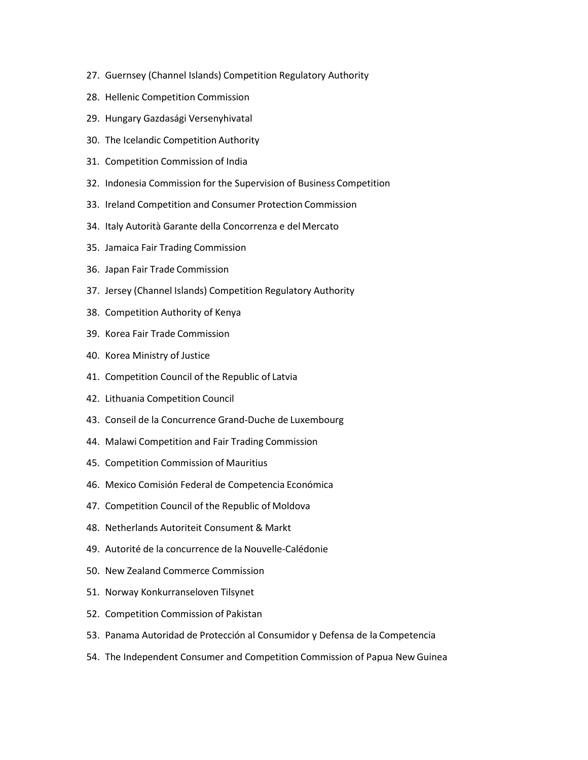- 27. Guernsey (Channel Islands) Competition Regulatory Authority
- 28. Hellenic Competition Commission
- 29. Hungary Gazdasági Versenyhivatal
- 30. The Icelandic Competition Authority
- 31. Competition Commission of India
- 32. Indonesia Commission for the Supervision of Business Competition
- 33. Ireland Competition and Consumer Protection Commission
- 34. Italy Autorità Garante della Concorrenza e del Mercato
- 35. Jamaica Fair Trading Commission
- 36. Japan Fair Trade Commission
- 37. Jersey (Channel Islands) Competition Regulatory Authority
- 38. Competition Authority of Kenya
- 39. Korea Fair Trade Commission
- 40. Korea Ministry of Justice
- 41. Competition Council of the Republic of Latvia
- 42. Lithuania Competition Council
- 43. Conseil de la Concurrence Grand-Duche de Luxembourg
- 44. Malawi Competition and Fair Trading Commission
- 45. Competition Commission of Mauritius
- 46. Mexico Comisión Federal de Competencia Económica
- 47. Competition Council of the Republic of Moldova
- 48. Netherlands Autoriteit Consument & Markt
- 49. Autorité de la concurrence de la Nouvelle-Calédonie
- 50. New Zealand Commerce Commission
- 51. Norway Konkurranseloven Tilsynet
- 52. Competition Commission of Pakistan
- 53. Panama Autoridad de Protección al Consumidor y Defensa de la Competencia
- 54. The Independent Consumer and Competition Commission of Papua New Guinea